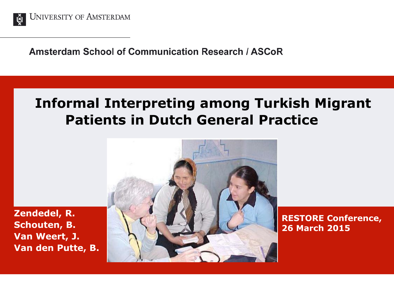

**Amsterdam School of Communication Research / ASCoR** 

### **Informal Interpreting among Turkish Migrant Patients in Dutch General Practice**

**Zendedel, R. Schouten, B. Van Weert, J. Van den Putte, B.**



**RESTORE Conference, 26 March 2015**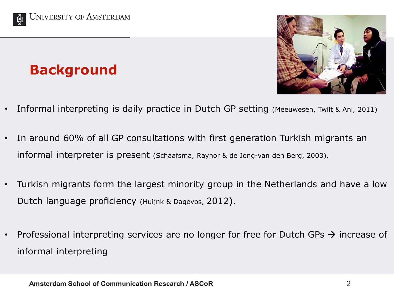

### **Background**



- Informal interpreting is daily practice in Dutch GP setting (Meeuwesen, Twilt & Ani, 2011)
- In around 60% of all GP consultations with first generation Turkish migrants an informal interpreter is present (Schaafsma, Raynor & de Jong-van den Berg, 2003).
- Turkish migrants form the largest minority group in the Netherlands and have a low Dutch language proficiency (Huijnk & Dagevos, 2012).
- Professional interpreting services are no longer for free for Dutch GPs  $\rightarrow$  increase of informal interpreting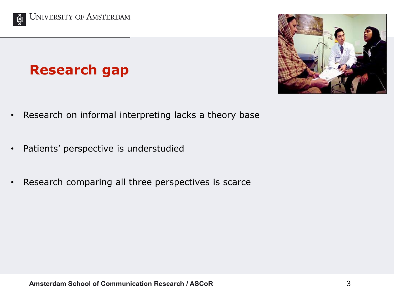

### **Research gap**

- Research on informal interpreting lacks a theory base
- Patients' perspective is understudied
- Research comparing all three perspectives is scarce

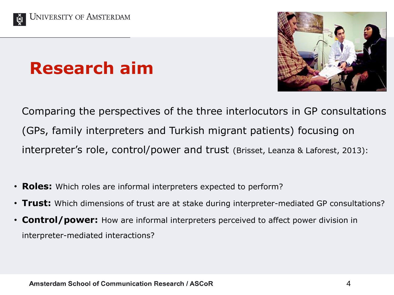



### **Research aim**

Comparing the perspectives of the three interlocutors in GP consultations (GPs, family interpreters and Turkish migrant patients) focusing on interpreter's role, control/power and trust (Brisset, Leanza & Laforest, 2013):

- **Roles:** Which roles are informal interpreters expected to perform?
- **Trust:** Which dimensions of trust are at stake during interpreter-mediated GP consultations?
- **Control/power:** How are informal interpreters perceived to affect power division in interpreter-mediated interactions?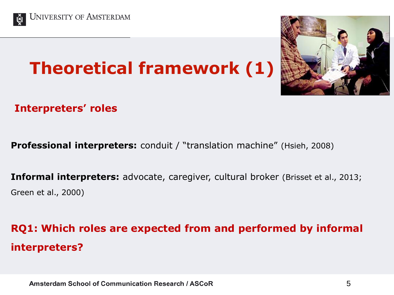

## **Theoretical framework (1)**



#### **Interpreters' roles**

**Professional interpreters:** conduit / "translation machine" (Hsieh, 2008)

**Informal interpreters:** advocate, caregiver, cultural broker (Brisset et al., 2013; Green et al., 2000)

### **RQ1: Which roles are expected from and performed by informal interpreters?**

Amsterdam School of Communication Research / ASCoR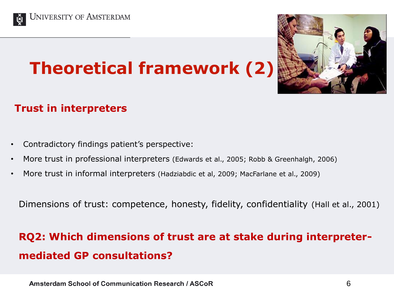

## **Theoretical framework (2)**



#### **Trust in interpreters**

- Contradictory findings patient's perspective:
- More trust in professional interpreters (Edwards et al., 2005; Robb & Greenhalgh, 2006)
- More trust in informal interpreters (Hadziabdic et al, 2009; MacFarlane et al., 2009)

Dimensions of trust: competence, honesty, fidelity, confidentiality (Hall et al., 2001)

### **RQ2: Which dimensions of trust are at stake during interpretermediated GP consultations?**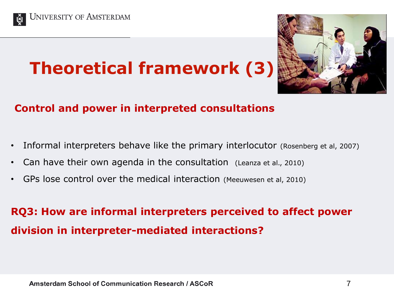

## **Theoretical framework (3)**



#### **Control and power in interpreted consultations**

- Informal interpreters behave like the primary interlocutor (Rosenberg et al, 2007)
- Can have their own agenda in the consultation (Leanza et al., 2010)
- GPs lose control over the medical interaction (Meeuwesen et al, 2010)

### **RQ3: How are informal interpreters perceived to affect power division in interpreter-mediated interactions?**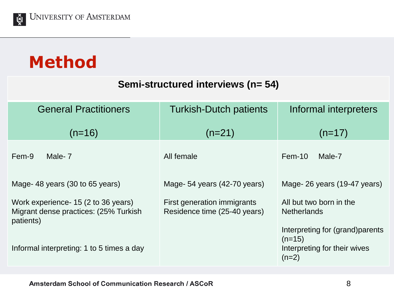

### **Method**

#### **Semi-structured interviews (n= 54)**

| <b>General Practitioners</b>                                                               | <b>Turkish-Dutch patients</b>                               | Informal interpreters                                                                   |
|--------------------------------------------------------------------------------------------|-------------------------------------------------------------|-----------------------------------------------------------------------------------------|
| $(n=16)$                                                                                   | $(n=21)$                                                    | $(n=17)$                                                                                |
| Fem-9<br>Male-7                                                                            | All female                                                  | $Fem-10$<br>Male-7                                                                      |
| Mage-48 years (30 to 65 years)                                                             | Mage-54 years (42-70 years)                                 | Mage-26 years (19-47 years)                                                             |
| Work experience - 15 (2 to 36 years)<br>Migrant dense practices: (25% Turkish<br>patients) | First generation immigrants<br>Residence time (25-40 years) | All but two born in the<br><b>Netherlands</b>                                           |
| Informal interpreting: 1 to 5 times a day                                                  |                                                             | Interpreting for (grand) parents<br>$(n=15)$<br>Interpreting for their wives<br>$(n=2)$ |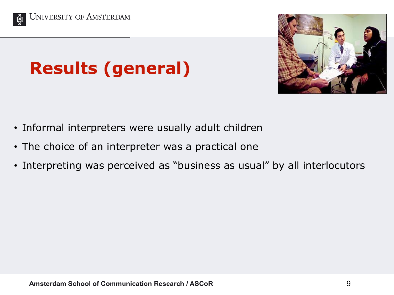



## **Results (general)**

- Informal interpreters were usually adult children
- The choice of an interpreter was a practical one
- Interpreting was perceived as "business as usual" by all interlocutors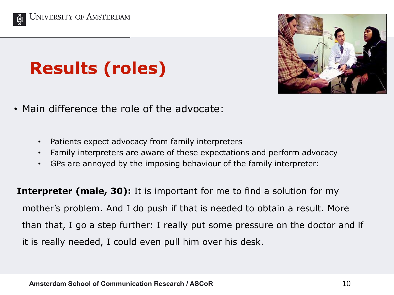



## **Results (roles)**

- Main difference the role of the advocate:
	- Patients expect advocacy from family interpreters
	- Family interpreters are aware of these expectations and perform advocacy
	- GPs are annoyed by the imposing behaviour of the family interpreter:

**Interpreter (male, 30):** It is important for me to find a solution for my mother's problem. And I do push if that is needed to obtain a result. More than that, I go a step further: I really put some pressure on the doctor and if it is really needed, I could even pull him over his desk.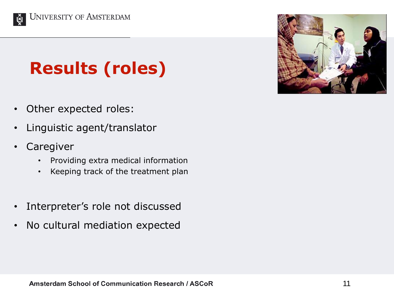

## **Results (roles)**

- Other expected roles:
- Linguistic agent/translator
- **Caregiver** 
	- Providing extra medical information
	- Keeping track of the treatment plan
- Interpreter's role not discussed
- No cultural mediation expected

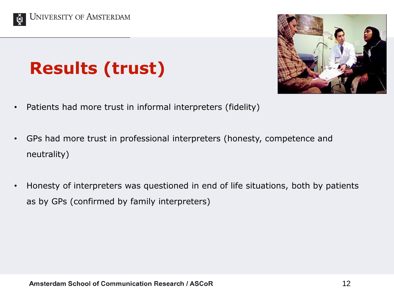



## **Results (trust)**

- Patients had more trust in informal interpreters (fidelity)
- GPs had more trust in professional interpreters (honesty, competence and neutrality)
- Honesty of interpreters was questioned in end of life situations, both by patients as by GPs (confirmed by family interpreters)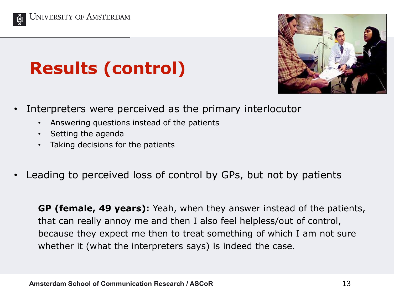



## **Results (control)**

- Interpreters were perceived as the primary interlocutor
	- Answering questions instead of the patients
	- Setting the agenda
	- Taking decisions for the patients
- Leading to perceived loss of control by GPs, but not by patients

**GP (female, 49 years):** Yeah, when they answer instead of the patients, that can really annoy me and then I also feel helpless/out of control, because they expect me then to treat something of which I am not sure whether it (what the interpreters says) is indeed the case.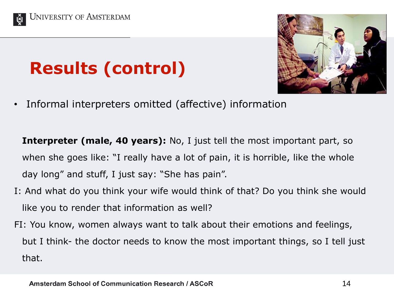





• Informal interpreters omitted (affective) information

**Interpreter (male, 40 years):** No, I just tell the most important part, so when she goes like: "I really have a lot of pain, it is horrible, like the whole day long" and stuff, I just say: "She has pain".

- I: And what do you think your wife would think of that? Do you think she would like you to render that information as well?
- FI: You know, women always want to talk about their emotions and feelings, but I think- the doctor needs to know the most important things, so I tell just that.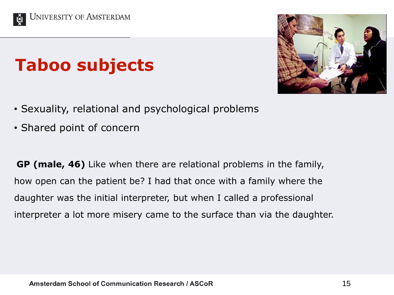

## **Taboo subjects**



- Sexuality, relational and psychological problems
- Shared point of concern

**GP (male, 46)** Like when there are relational problems in the family, how open can the patient be? I had that once with a family where the daughter was the initial interpreter, but when I called a professional interpreter a lot more misery came to the surface than via the daughter.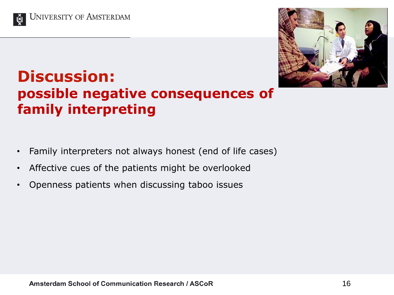



### **Discussion: possible negative consequences of family interpreting**

- Family interpreters not always honest (end of life cases)
- Affective cues of the patients might be overlooked
- Openness patients when discussing taboo issues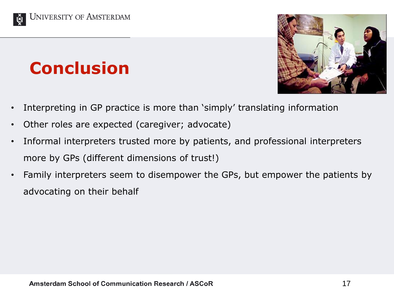

## **Conclusion**



- Interpreting in GP practice is more than 'simply' translating information
- Other roles are expected (caregiver; advocate)
- Informal interpreters trusted more by patients, and professional interpreters more by GPs (different dimensions of trust!)
- Family interpreters seem to disempower the GPs, but empower the patients by advocating on their behalf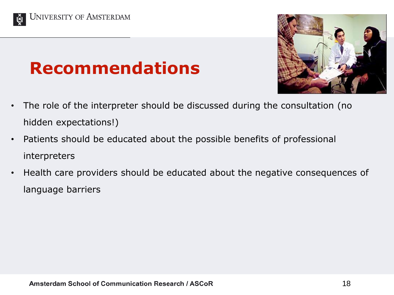



### **Recommendations**

- The role of the interpreter should be discussed during the consultation (no hidden expectations!)
- Patients should be educated about the possible benefits of professional interpreters
- Health care providers should be educated about the negative consequences of language barriers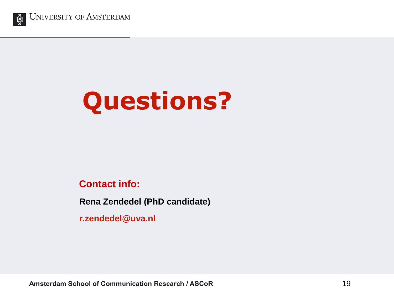

**UNIVERSITY OF AMSTERDAM** 

# **Questions?**

#### **Contact info:**

**Rena Zendedel (PhD candidate)**

**r.zendedel@uva.nl**

Amsterdam School of Communication Research / ASCoR